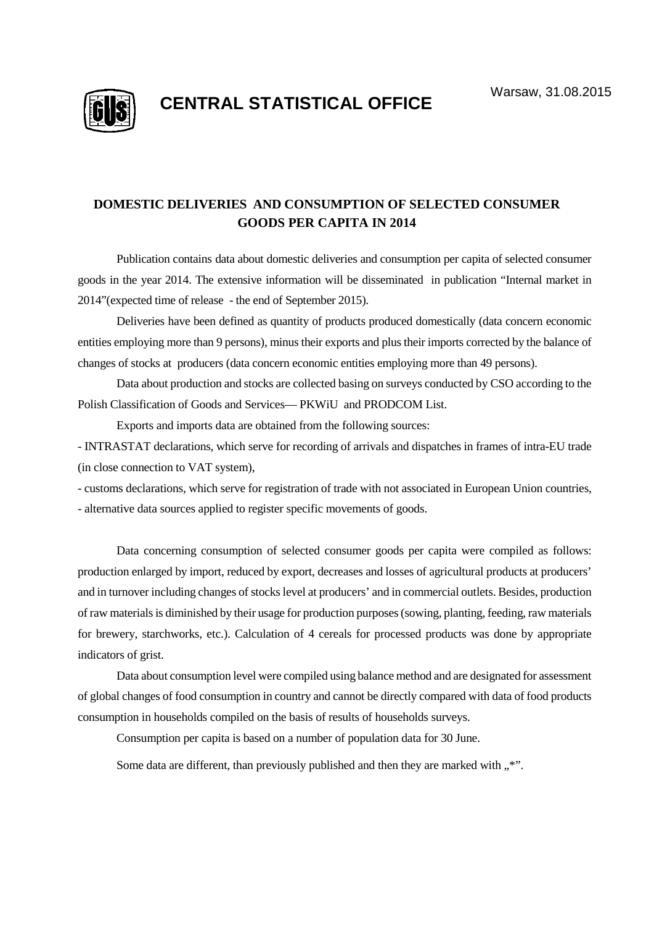

## **CENTRAL STATISTICAL OFFICE** Warsaw, 31.08.2015

## **DOMESTIC DELIVERIES AND CONSUMPTION OF SELECTED CONSUMER GOODS PER CAPITA IN 2014**

Publication contains data about domestic deliveries and consumption per capita of selected consumer goods in the year 2014. The extensive information will be disseminated in publication "Internal market in 2014"(expected time of release - the end of September 2015).

Deliveries have been defined as quantity of products produced domestically (data concern economic entities employing more than 9 persons), minus their exports and plus their imports corrected by the balance of changes of stocks at producers (data concern economic entities employing more than 49 persons).

Data about production and stocks are collected basing on surveys conducted by CSO according to the Polish Classification of Goods and Services— PKWiU and PRODCOM List.

Exports and imports data are obtained from the following sources:

- INTRASTAT declarations, which serve for recording of arrivals and dispatches in frames of intra-EU trade (in close connection to VAT system),

- customs declarations, which serve for registration of trade with not associated in European Union countries, - alternative data sources applied to register specific movements of goods.

Data concerning consumption of selected consumer goods per capita were compiled as follows: production enlarged by import, reduced by export, decreases and losses of agricultural products at producers' and in turnover including changes of stocks level at producers' and in commercial outlets. Besides, production of raw materials is diminished by their usage for production purposes (sowing, planting, feeding, raw materials for brewery, starchworks, etc.). Calculation of 4 cereals for processed products was done by appropriate indicators of grist.

Data about consumption level were compiled using balance method and are designated for assessment of global changes of food consumption in country and cannot be directly compared with data of food products consumption in households compiled on the basis of results of households surveys.

Consumption per capita is based on a number of population data for 30 June.

Some data are different, than previously published and then they are marked with  $\cdot$ ".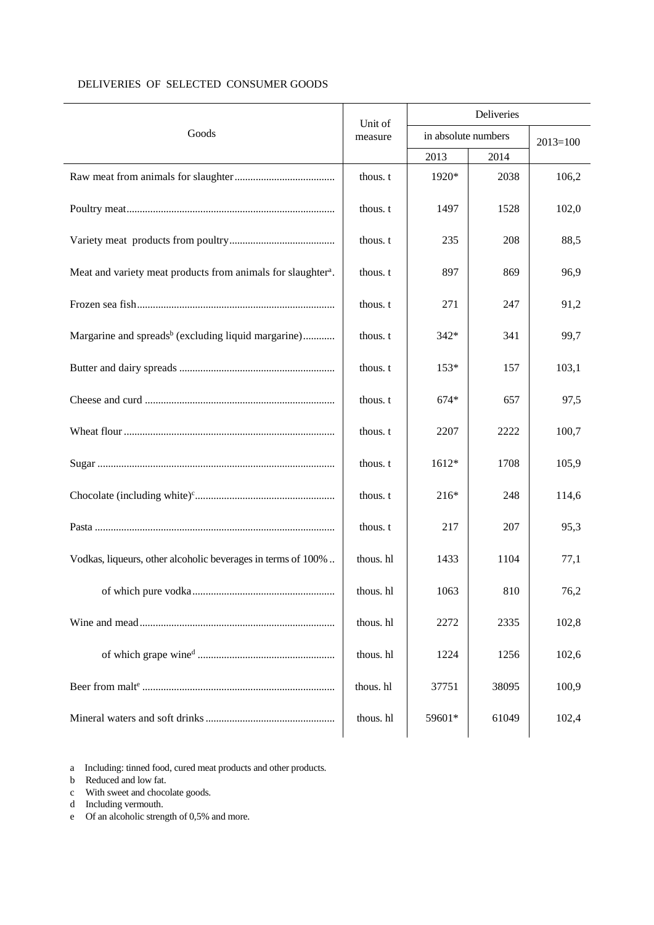|                                                                          | Unit of   | Deliveries          |              |       |  |  |
|--------------------------------------------------------------------------|-----------|---------------------|--------------|-------|--|--|
| Goods                                                                    | measure   | in absolute numbers | $2013 = 100$ |       |  |  |
|                                                                          |           | 2013                | 2014         |       |  |  |
|                                                                          | thous. t  | 1920*               | 2038         | 106,2 |  |  |
|                                                                          | thous. t  | 1497                | 1528         | 102,0 |  |  |
|                                                                          | thous. t  | 235                 | 208          | 88,5  |  |  |
| Meat and variety meat products from animals for slaughter <sup>a</sup> . | thous. t  | 897                 | 869          | 96,9  |  |  |
|                                                                          | thous. t  | 271                 | 247          | 91,2  |  |  |
| Margarine and spreads <sup>b</sup> (excluding liquid margarine)          | thous. t  | 342*                | 341          | 99,7  |  |  |
|                                                                          | thous. t  | 153*                | 157          | 103,1 |  |  |
|                                                                          | thous. t  | $674*$              | 657          | 97,5  |  |  |
|                                                                          | thous. t  | 2207                | 2222         | 100,7 |  |  |
|                                                                          | thous. t  | 1612*               | 1708         | 105,9 |  |  |
|                                                                          | thous. t  | $216*$              | 248          | 114,6 |  |  |
|                                                                          | thous. t  | 217                 | 207          | 95,3  |  |  |
| Vodkas, liqueurs, other alcoholic beverages in terms of 100%.            | thous. hl | 1433                | 1104         | 77,1  |  |  |
|                                                                          | thous. hl | 1063                | 810          | 76,2  |  |  |
|                                                                          | thous. hl | 2272                | 2335         | 102,8 |  |  |
|                                                                          | thous. hl | 1224                | 1256         | 102,6 |  |  |
|                                                                          | thous. hl | 37751               | 38095        | 100,9 |  |  |
|                                                                          | thous. hl | 59601*              | 61049        | 102,4 |  |  |

## DELIVERIES OF SELECTED CONSUMER GOODS

a Including: tinned food, cured meat products and other products.

b Reduced and low fat.

c With sweet and chocolate goods.

d Including vermouth.

e Of an alcoholic strength of 0,5% and more.